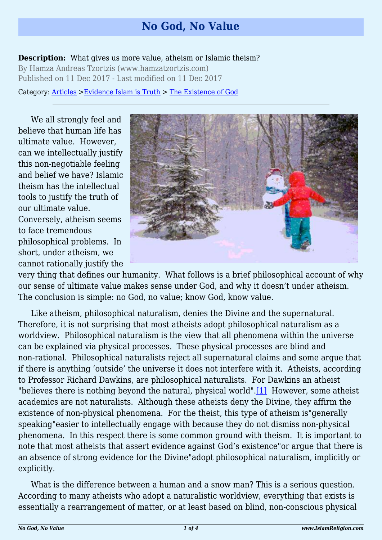## **No God, No Value**

**Description:** What gives us more value, atheism or Islamic theism? By Hamza Andreas Tzortzis (www.hamzatzortzis.com) Published on 11 Dec 2017 - Last modified on 11 Dec 2017

Category: [Articles](http://www.islamreligion.com/articles/) >[Evidence Islam is Truth](http://www.islamreligion.com/category/33/) > [The Existence of God](http://www.islamreligion.com/category/39/)

We all strongly feel and believe that human life has ultimate value. However, can we intellectually justify this non-negotiable feeling and belief we have? Islamic theism has the intellectual tools to justify the truth of our ultimate value. Conversely, atheism seems to face tremendous philosophical problems. In short, under atheism, we cannot rationally justify the



very thing that defines our humanity. What follows is a brief philosophical account of why our sense of ultimate value makes sense under God, and why it doesn't under atheism. The conclusion is simple: no God, no value; know God, know value.

<span id="page-0-0"></span>Like atheism, philosophical naturalism, denies the Divine and the supernatural. Therefore, it is not surprising that most atheists adopt philosophical naturalism as a worldview. Philosophical naturalism is the view that all phenomena within the universe can be explained via physical processes. These physical processes are blind and non-rational. Philosophical naturalists reject all supernatural claims and some argue that if there is anything 'outside' the universe it does not interfere with it. Atheists, according to Professor Richard Dawkins, are philosophical naturalists. For Dawkins an atheist "believes there is nothing beyond the natural, physical world".<sup>[1]</sup> However, some atheist academics are not naturalists. Although these atheists deny the Divine, they affirm the existence of non-physical phenomena. For the theist, this type of atheism is"generally speaking"easier to intellectually engage with because they do not dismiss non-physical phenomena. In this respect there is some common ground with theism. It is important to note that most atheists that assert evidence against God's existence"or argue that there is an absence of strong evidence for the Divine"adopt philosophical naturalism, implicitly or explicitly.

What is the difference between a human and a snow man? This is a serious question. According to many atheists who adopt a naturalistic worldview, everything that exists is essentially a rearrangement of matter, or at least based on blind, non-conscious physical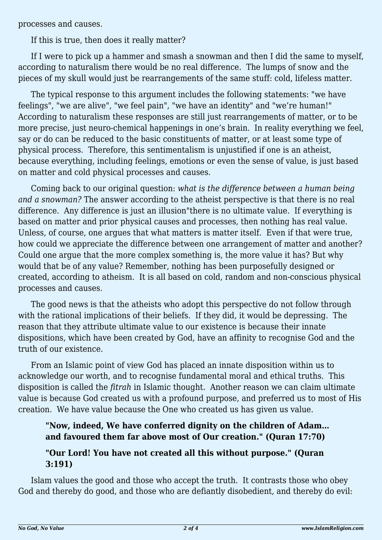processes and causes.

If this is true, then does it really matter?

If I were to pick up a hammer and smash a snowman and then I did the same to myself, according to naturalism there would be no real difference. The lumps of snow and the pieces of my skull would just be rearrangements of the same stuff: cold, lifeless matter.

The typical response to this argument includes the following statements: "we have feelings", "we are alive", "we feel pain", "we have an identity" and "we're human!" According to naturalism these responses are still just rearrangements of matter, or to be more precise, just neuro-chemical happenings in one's brain. In reality everything we feel, say or do can be reduced to the basic constituents of matter, or at least some type of physical process. Therefore, this sentimentalism is unjustified if one is an atheist, because everything, including feelings, emotions or even the sense of value, is just based on matter and cold physical processes and causes.

Coming back to our original question: *what is the difference between a human being and a snowman?* The answer according to the atheist perspective is that there is no real difference. Any difference is just an illusion"there is no ultimate value. If everything is based on matter and prior physical causes and processes, then nothing has real value. Unless, of course, one argues that what matters is matter itself. Even if that were true, how could we appreciate the difference between one arrangement of matter and another? Could one argue that the more complex something is, the more value it has? But why would that be of any value? Remember, nothing has been purposefully designed or created, according to atheism. It is all based on cold, random and non-conscious physical processes and causes.

The good news is that the atheists who adopt this perspective do not follow through with the rational implications of their beliefs. If they did, it would be depressing. The reason that they attribute ultimate value to our existence is because their innate dispositions, which have been created by God, have an affinity to recognise God and the truth of our existence.

From an Islamic point of view God has placed an innate disposition within us to acknowledge our worth, and to recognise fundamental moral and ethical truths. This disposition is called the *fitrah* in Islamic thought. Another reason we can claim ultimate value is because God created us with a profound purpose, and preferred us to most of His creation. We have value because the One who created us has given us value.

## **"Now, indeed, We have conferred dignity on the children of Adam… and favoured them far above most of Our creation." (Quran 17:70)**

## **"Our Lord! You have not created all this without purpose." (Quran 3:191)**

Islam values the good and those who accept the truth. It contrasts those who obey God and thereby do good, and those who are defiantly disobedient, and thereby do evil: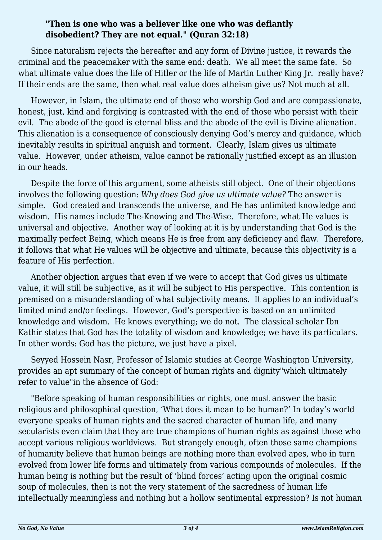## **"Then is one who was a believer like one who was defiantly disobedient? They are not equal." (Quran 32:18)**

Since naturalism rejects the hereafter and any form of Divine justice, it rewards the criminal and the peacemaker with the same end: death. We all meet the same fate. So what ultimate value does the life of Hitler or the life of Martin Luther King Jr. really have? If their ends are the same, then what real value does atheism give us? Not much at all.

However, in Islam, the ultimate end of those who worship God and are compassionate, honest, just, kind and forgiving is contrasted with the end of those who persist with their evil. The abode of the good is eternal bliss and the abode of the evil is Divine alienation. This alienation is a consequence of consciously denying God's mercy and guidance, which inevitably results in spiritual anguish and torment. Clearly, Islam gives us ultimate value. However, under atheism, value cannot be rationally justified except as an illusion in our heads.

Despite the force of this argument, some atheists still object. One of their objections involves the following question: *Why does God give us ultimate value?* The answer is simple. God created and transcends the universe, and He has unlimited knowledge and wisdom. His names include The-Knowing and The-Wise. Therefore, what He values is universal and objective. Another way of looking at it is by understanding that God is the maximally perfect Being, which means He is free from any deficiency and flaw. Therefore, it follows that what He values will be objective and ultimate, because this objectivity is a feature of His perfection.

Another objection argues that even if we were to accept that God gives us ultimate value, it will still be subjective, as it will be subject to His perspective. This contention is premised on a misunderstanding of what subjectivity means. It applies to an individual's limited mind and/or feelings. However, God's perspective is based on an unlimited knowledge and wisdom. He knows everything; we do not. The classical scholar Ibn Kathir states that God has the totality of wisdom and knowledge; we have its particulars. In other words: God has the picture, we just have a pixel.

Seyyed Hossein Nasr, Professor of Islamic studies at George Washington University, provides an apt summary of the concept of human rights and dignity"which ultimately refer to value"in the absence of God:

"Before speaking of human responsibilities or rights, one must answer the basic religious and philosophical question, 'What does it mean to be human?' In today's world everyone speaks of human rights and the sacred character of human life, and many secularists even claim that they are true champions of human rights as against those who accept various religious worldviews. But strangely enough, often those same champions of humanity believe that human beings are nothing more than evolved apes, who in turn evolved from lower life forms and ultimately from various compounds of molecules. If the human being is nothing but the result of 'blind forces' acting upon the original cosmic soup of molecules, then is not the very statement of the sacredness of human life intellectually meaningless and nothing but a hollow sentimental expression? Is not human